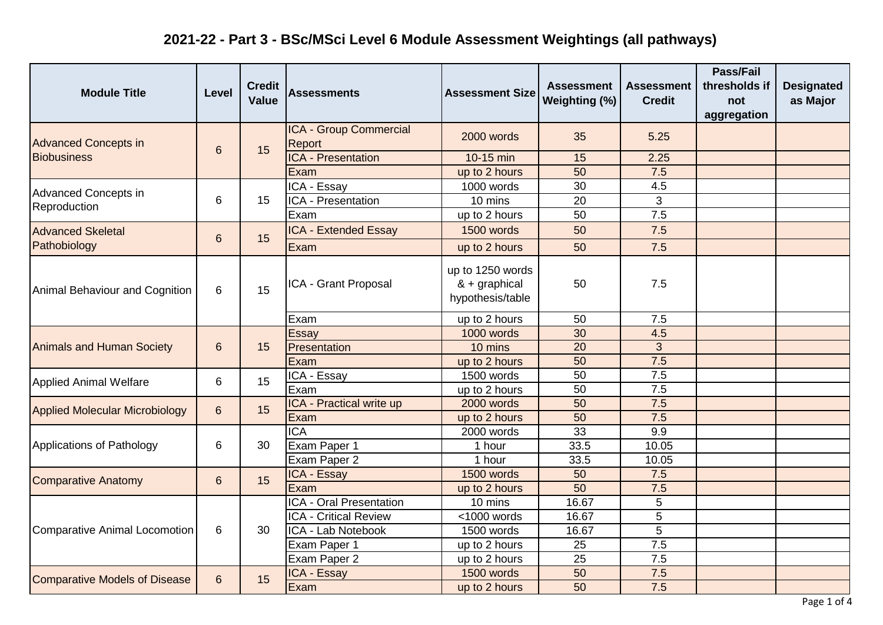| <b>Module Title</b>                   | Level | <b>Credit</b><br><b>Value</b> | <b>Assessments</b>                      | <b>Assessment Size</b>                                | <b>Assessment</b><br>Weighting (%) | Assessment<br><b>Credit</b> | <b>Pass/Fail</b><br>thresholds if<br>not<br>aggregation | <b>Designated</b><br>as Major |
|---------------------------------------|-------|-------------------------------|-----------------------------------------|-------------------------------------------------------|------------------------------------|-----------------------------|---------------------------------------------------------|-------------------------------|
| <b>Advanced Concepts in</b>           | 6     | 15                            | ICA - Group Commercial<br><b>Report</b> | 2000 words                                            | 35                                 | 5.25                        |                                                         |                               |
| <b>Biobusiness</b>                    |       |                               | <b>ICA - Presentation</b>               | 10-15 min                                             | 15                                 | 2.25                        |                                                         |                               |
|                                       |       |                               | Exam                                    | up to 2 hours                                         | 50                                 | 7.5                         |                                                         |                               |
| Advanced Concepts in                  |       |                               | ICA - Essay                             | 1000 words                                            | 30                                 | 4.5                         |                                                         |                               |
| Reproduction                          | 6     | 15                            | ICA - Presentation                      | 10 mins                                               | 20                                 | 3                           |                                                         |                               |
|                                       |       |                               | Exam                                    | up to 2 hours                                         | 50                                 | 7.5                         |                                                         |                               |
| <b>Advanced Skeletal</b>              | 6     | 15                            | <b>ICA - Extended Essay</b>             | 1500 words                                            | 50                                 | 7.5                         |                                                         |                               |
| Pathobiology                          |       |                               | Exam                                    | up to 2 hours                                         | 50                                 | 7.5                         |                                                         |                               |
| Animal Behaviour and Cognition        | 6     | 15                            | ICA - Grant Proposal                    | up to 1250 words<br>& + graphical<br>hypothesis/table | 50                                 | 7.5                         |                                                         |                               |
|                                       |       |                               | Exam                                    | up to 2 hours                                         | 50                                 | 7.5                         |                                                         |                               |
|                                       | 6     | 15                            | Essay                                   | 1000 words                                            | 30                                 | 4.5                         |                                                         |                               |
| <b>Animals and Human Society</b>      |       |                               | Presentation                            | 10 mins                                               | 20                                 | 3                           |                                                         |                               |
|                                       |       |                               | Exam                                    | up to 2 hours                                         | 50                                 | 7.5                         |                                                         |                               |
| <b>Applied Animal Welfare</b>         | 6     | 15                            | ICA - Essay                             | 1500 words                                            | 50                                 | 7.5                         |                                                         |                               |
|                                       |       |                               | Exam                                    | up to 2 hours                                         | 50                                 | 7.5                         |                                                         |                               |
| <b>Applied Molecular Microbiology</b> | 6     | 15                            | ICA - Practical write up                | 2000 words                                            | 50                                 | 7.5                         |                                                         |                               |
|                                       |       |                               | Exam                                    | up to 2 hours                                         | 50                                 | 7.5                         |                                                         |                               |
|                                       | 6     | 30                            | <b>ICA</b>                              | 2000 words                                            | 33                                 | 9.9                         |                                                         |                               |
| Applications of Pathology             |       |                               | Exam Paper 1                            | 1 hour                                                | 33.5                               | 10.05                       |                                                         |                               |
|                                       |       |                               | Exam Paper 2                            | 1 hour                                                | 33.5                               | 10.05                       |                                                         |                               |
| <b>Comparative Anatomy</b>            | 6     | 15                            | ICA - Essay                             | 1500 words                                            | 50                                 | 7.5                         |                                                         |                               |
|                                       |       |                               | Exam                                    | up to 2 hours                                         | 50                                 | 7.5                         |                                                         |                               |
|                                       | 6     | 30                            | ICA - Oral Presentation                 | 10 mins                                               | 16.67                              | 5                           |                                                         |                               |
|                                       |       |                               | <b>ICA - Critical Review</b>            | <1000 words                                           | 16.67                              | 5                           |                                                         |                               |
| Comparative Animal Locomotion         |       |                               | ICA - Lab Notebook                      | 1500 words                                            | 16.67                              | $\overline{5}$              |                                                         |                               |
|                                       |       |                               | Exam Paper 1                            | up to 2 hours                                         | 25                                 | 7.5                         |                                                         |                               |
|                                       |       |                               | Exam Paper 2                            | up to 2 hours                                         | 25                                 | 7.5                         |                                                         |                               |
| <b>Comparative Models of Disease</b>  | 6     | 15                            | ICA - Essay                             | 1500 words                                            | 50                                 | 7.5                         |                                                         |                               |
|                                       |       |                               | Exam                                    | up to 2 hours                                         | 50                                 | 7.5                         |                                                         |                               |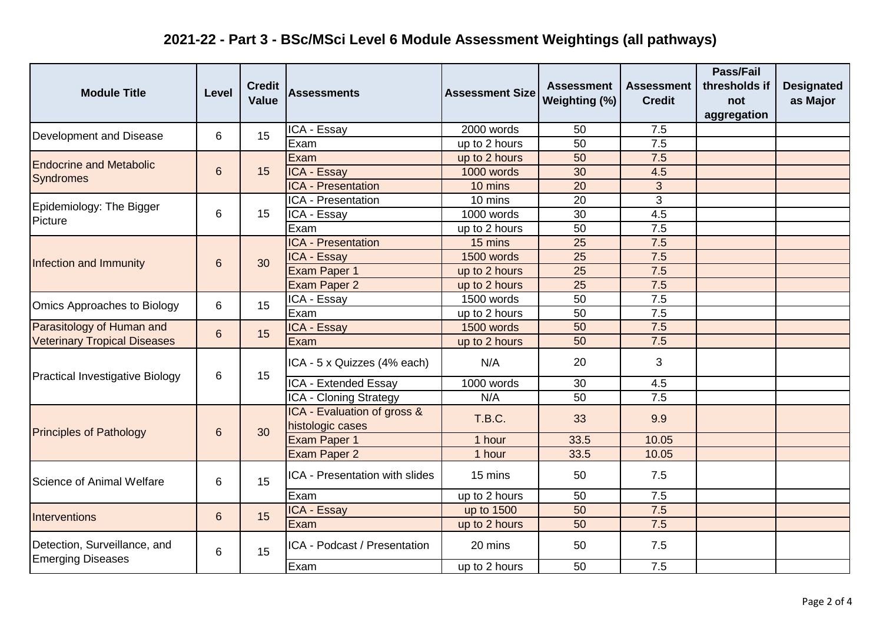| <b>Module Title</b>                    | Level | <b>Credit</b><br><b>Value</b> | <b>Assessments</b>                              | <b>Assessment Size</b> | <b>Assessment</b><br>Weighting (%) | <b>Assessment</b><br><b>Credit</b> | <b>Pass/Fail</b><br>thresholds if<br>not<br>aggregation | <b>Designated</b><br>as Major |
|----------------------------------------|-------|-------------------------------|-------------------------------------------------|------------------------|------------------------------------|------------------------------------|---------------------------------------------------------|-------------------------------|
| Development and Disease                | 6     | 15                            | ICA - Essay                                     | 2000 words             | 50                                 | 7.5                                |                                                         |                               |
|                                        |       |                               | Exam                                            | up to 2 hours          | 50                                 | 7.5                                |                                                         |                               |
| <b>Endocrine and Metabolic</b>         | 6     |                               | Exam                                            | up to 2 hours          | 50                                 | 7.5                                |                                                         |                               |
| <b>Syndromes</b>                       |       | 15                            | ICA - Essay                                     | 1000 words             | 30                                 | 4.5                                |                                                         |                               |
|                                        |       |                               | <b>ICA - Presentation</b>                       | 10 mins                | 20                                 | 3                                  |                                                         |                               |
| Epidemiology: The Bigger               |       |                               | ICA - Presentation                              | 10 mins                | 20                                 | 3                                  |                                                         |                               |
| Picture                                | 6     | 15                            | ICA - Essay                                     | 1000 words             | 30                                 | 4.5                                |                                                         |                               |
|                                        |       |                               | Exam                                            | up to 2 hours          | 50                                 | 7.5                                |                                                         |                               |
|                                        |       |                               | <b>ICA - Presentation</b>                       | 15 mins                | 25                                 | 7.5                                |                                                         |                               |
| Infection and Immunity                 | 6     | 30                            | ICA - Essay                                     | 1500 words             | 25                                 | 7.5                                |                                                         |                               |
|                                        |       |                               | Exam Paper 1                                    | up to 2 hours          | 25                                 | 7.5                                |                                                         |                               |
|                                        |       |                               | Exam Paper 2                                    | up to 2 hours          | 25                                 | 7.5                                |                                                         |                               |
| Omics Approaches to Biology            | 6     | 15                            | ICA - Essay                                     | 1500 words             | 50                                 | 7.5                                |                                                         |                               |
|                                        |       |                               | Exam                                            | up to 2 hours          | 50                                 | 7.5                                |                                                         |                               |
| Parasitology of Human and              | 6     | 15                            | ICA - Essay                                     | 1500 words             | 50                                 | 7.5                                |                                                         |                               |
| <b>Veterinary Tropical Diseases</b>    |       |                               | Exam                                            | up to 2 hours          | 50                                 | 7.5                                |                                                         |                               |
|                                        | 6     | 15                            | ICA - 5 x Quizzes (4% each)                     | N/A                    | 20                                 | 3                                  |                                                         |                               |
| <b>Practical Investigative Biology</b> |       |                               | ICA - Extended Essay                            | 1000 words             | 30                                 | 4.5                                |                                                         |                               |
|                                        |       |                               | ICA - Cloning Strategy                          | N/A                    | $\overline{50}$                    | $\overline{7.5}$                   |                                                         |                               |
|                                        | 6     | 30                            | ICA - Evaluation of gross &<br>histologic cases | T.B.C.                 | 33                                 | 9.9                                |                                                         |                               |
| <b>Principles of Pathology</b>         |       |                               | Exam Paper 1                                    | 1 hour                 | 33.5                               | 10.05                              |                                                         |                               |
|                                        |       |                               | Exam Paper 2                                    | 1 hour                 | 33.5                               | 10.05                              |                                                         |                               |
| Science of Animal Welfare              | 6     | 15                            | ICA - Presentation with slides                  | 15 mins                | 50                                 | 7.5                                |                                                         |                               |
|                                        |       |                               | Exam                                            | up to 2 hours          | 50                                 | 7.5                                |                                                         |                               |
| Interventions                          | 6     | 15                            | ICA - Essay                                     | up to 1500             | 50                                 | 7.5                                |                                                         |                               |
|                                        |       |                               | Exam                                            | up to 2 hours          | 50                                 | 7.5                                |                                                         |                               |
| Detection, Surveillance, and           | 6     | 15                            | ICA - Podcast / Presentation                    | 20 mins                | 50                                 | 7.5                                |                                                         |                               |
| <b>Emerging Diseases</b>               |       |                               | Exam                                            | up to 2 hours          | 50                                 | 7.5                                |                                                         |                               |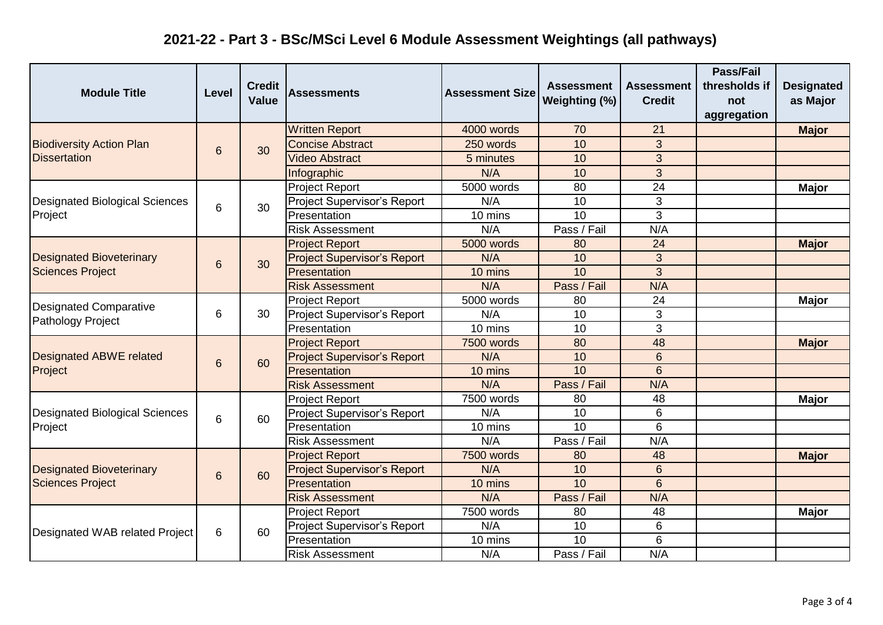| <b>Module Title</b>                   | Level | <b>Credit</b><br><b>Value</b> | <b>Assessments</b>                 | <b>Assessment Size</b> | <b>Assessment</b><br>Weighting (%) | <b>Assessment</b><br><b>Credit</b> | Pass/Fail<br>thresholds if<br>not<br>aggregation | <b>Designated</b><br>as Major |
|---------------------------------------|-------|-------------------------------|------------------------------------|------------------------|------------------------------------|------------------------------------|--------------------------------------------------|-------------------------------|
|                                       | 6     | 30                            | <b>Written Report</b>              | 4000 words             | 70                                 | 21                                 |                                                  | <b>Major</b>                  |
| <b>Biodiversity Action Plan</b>       |       |                               | <b>Concise Abstract</b>            | 250 words              | 10                                 | 3                                  |                                                  |                               |
| <b>Dissertation</b>                   |       |                               | <b>Video Abstract</b>              | 5 minutes              | 10                                 | 3                                  |                                                  |                               |
|                                       |       |                               | Infographic                        | N/A                    | 10                                 | 3                                  |                                                  |                               |
|                                       |       |                               | <b>Project Report</b>              | 5000 words             | 80                                 | 24                                 |                                                  | <b>Major</b>                  |
| <b>Designated Biological Sciences</b> | 6     | 30                            | Project Supervisor's Report        | N/A                    | 10                                 | 3                                  |                                                  |                               |
| Project                               |       |                               | Presentation                       | 10 mins                | 10                                 | 3                                  |                                                  |                               |
|                                       |       |                               | <b>Risk Assessment</b>             | N/A                    | Pass / Fail                        | N/A                                |                                                  |                               |
|                                       |       | 30                            | <b>Project Report</b>              | 5000 words             | 80                                 | 24                                 |                                                  | <b>Major</b>                  |
| <b>Designated Bioveterinary</b>       | 6     |                               | <b>Project Supervisor's Report</b> | N/A                    | 10                                 | 3                                  |                                                  |                               |
| <b>Sciences Project</b>               |       |                               | Presentation                       | 10 mins                | 10                                 | 3                                  |                                                  |                               |
|                                       |       |                               | <b>Risk Assessment</b>             | N/A                    | Pass / Fail                        | N/A                                |                                                  |                               |
| <b>Designated Comparative</b>         | 6     | 30                            | <b>Project Report</b>              | 5000 words             | 80                                 | 24                                 |                                                  | <b>Major</b>                  |
|                                       |       |                               | Project Supervisor's Report        | N/A                    | 10                                 | 3                                  |                                                  |                               |
| Pathology Project                     |       |                               | Presentation                       | 10 mins                | 10                                 | 3                                  |                                                  |                               |
|                                       | 6     | 60                            | <b>Project Report</b>              | 7500 words             | 80                                 | 48                                 |                                                  | <b>Major</b>                  |
| <b>Designated ABWE related</b>        |       |                               | <b>Project Supervisor's Report</b> | N/A                    | 10                                 | $6\phantom{a}$                     |                                                  |                               |
| Project                               |       |                               | Presentation                       | 10 mins                | 10                                 | $6\overline{6}$                    |                                                  |                               |
|                                       |       |                               | <b>Risk Assessment</b>             | N/A                    | Pass / Fail                        | N/A                                |                                                  |                               |
|                                       | 6     | 60                            | <b>Project Report</b>              | 7500 words             | 80                                 | 48                                 |                                                  | <b>Major</b>                  |
| <b>Designated Biological Sciences</b> |       |                               | Project Supervisor's Report        | N/A                    | 10                                 | 6                                  |                                                  |                               |
| Project                               |       |                               | Presentation                       | 10 mins                | 10                                 | 6                                  |                                                  |                               |
|                                       |       |                               | <b>Risk Assessment</b>             | N/A                    | Pass / Fail                        | N/A                                |                                                  |                               |
|                                       | 6     | 60                            | <b>Project Report</b>              | 7500 words             | 80                                 | 48                                 |                                                  | <b>Major</b>                  |
| <b>Designated Bioveterinary</b>       |       |                               | <b>Project Supervisor's Report</b> | N/A                    | 10                                 | 6                                  |                                                  |                               |
| <b>Sciences Project</b>               |       |                               | Presentation                       | 10 mins                | 10                                 | 6                                  |                                                  |                               |
|                                       |       |                               | <b>Risk Assessment</b>             | N/A                    | Pass / Fail                        | N/A                                |                                                  |                               |
|                                       | 6     | 60                            | <b>Project Report</b>              | 7500 words             | 80                                 | 48                                 |                                                  | <b>Major</b>                  |
|                                       |       |                               | Project Supervisor's Report        | N/A                    | 10                                 | 6                                  |                                                  |                               |
| Designated WAB related Project        |       |                               | Presentation                       | 10 mins                | 10                                 | 6                                  |                                                  |                               |
|                                       |       |                               | <b>Risk Assessment</b>             | N/A                    | Pass / Fail                        | N/A                                |                                                  |                               |